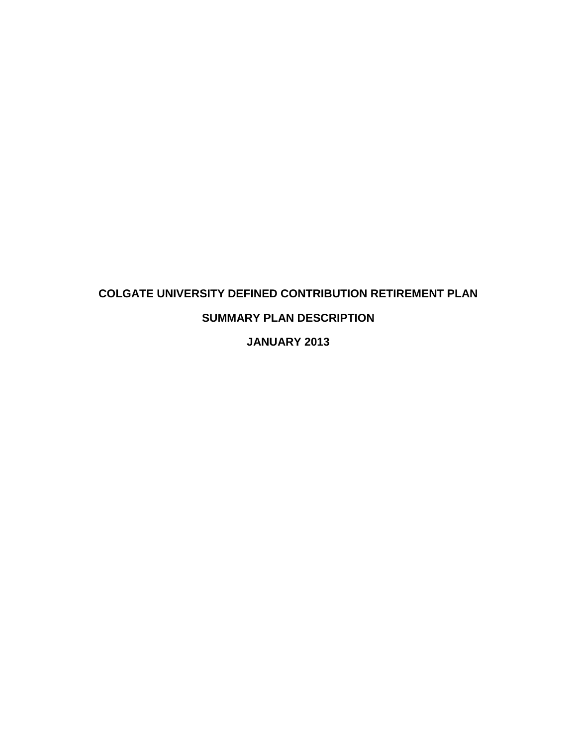# **COLGATE UNIVERSITY DEFINED CONTRIBUTION RETIREMENT PLAN SUMMARY PLAN DESCRIPTION**

**JANUARY 2013**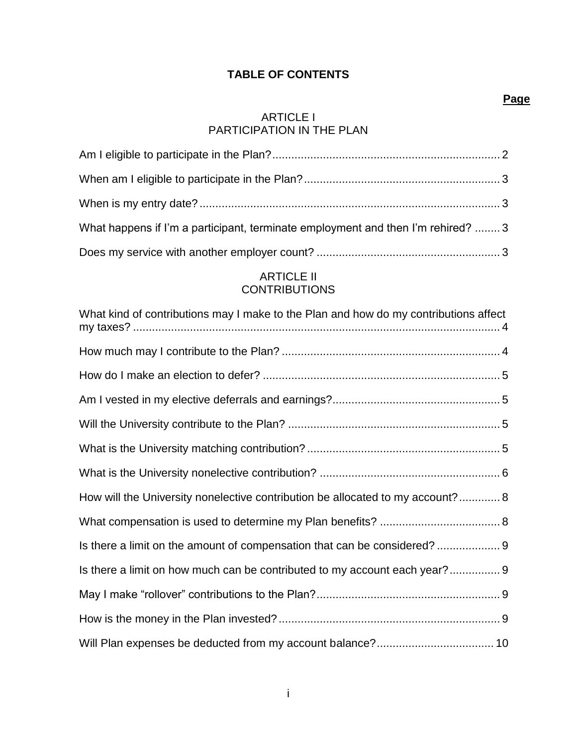### **TABLE OF CONTENTS**

### [ARTICLE I](#page-5-0) [PARTICIPATION](#page-5-0) IN THE PLAN

| What happens if I'm a participant, terminate employment and then I'm rehired?  3 |  |
|----------------------------------------------------------------------------------|--|
|                                                                                  |  |

### [ARTICLE II](#page-7-0) **[CONTRIBUTIONS](#page-7-0)**

| What kind of contributions may I make to the Plan and how do my contributions affect |
|--------------------------------------------------------------------------------------|
|                                                                                      |
|                                                                                      |
|                                                                                      |
|                                                                                      |
|                                                                                      |
|                                                                                      |
| How will the University nonelective contribution be allocated to my account? 8       |
|                                                                                      |
|                                                                                      |
| Is there a limit on how much can be contributed to my account each year? 9           |
|                                                                                      |
|                                                                                      |
|                                                                                      |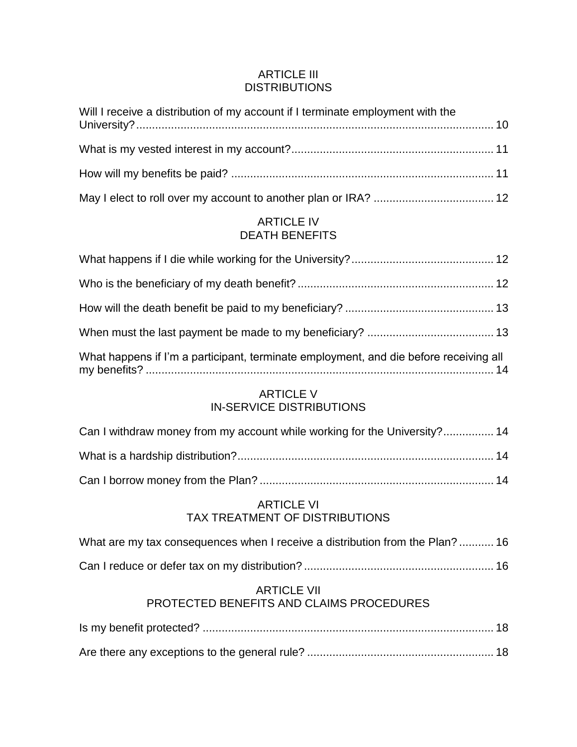### [ARTICLE III](#page-13-1) **[DISTRIBUTIONS](#page-13-1)**

| Will I receive a distribution of my account if I terminate employment with the |  |
|--------------------------------------------------------------------------------|--|
|                                                                                |  |
|                                                                                |  |
|                                                                                |  |

### [ARTICLE IV](#page-15-1) [DEATH BENEFITS](#page-15-1)

| What happens if I'm a participant, terminate employment, and die before receiving all |  |
|---------------------------------------------------------------------------------------|--|

### [ARTICLE V](#page-17-1) [IN-SERVICE DISTRIBUTIONS](#page-17-1)

| Can I withdraw money from my account while working for the University? 14 |  |
|---------------------------------------------------------------------------|--|
|                                                                           |  |
|                                                                           |  |

### [ARTICLE VI](#page-19-0) [TAX TREATMENT OF DISTRIBUTIONS](#page-19-0)

| What are my tax consequences when I receive a distribution from the Plan? 16 |  |  |
|------------------------------------------------------------------------------|--|--|
|                                                                              |  |  |

## [Can I reduce or defer tax on my distribution?](#page-19-2) ............................................................ 16

### [ARTICLE VII](#page-20-0) [PROTECTED BENEFITS AND CLAIMS PROCEDURES](#page-20-0)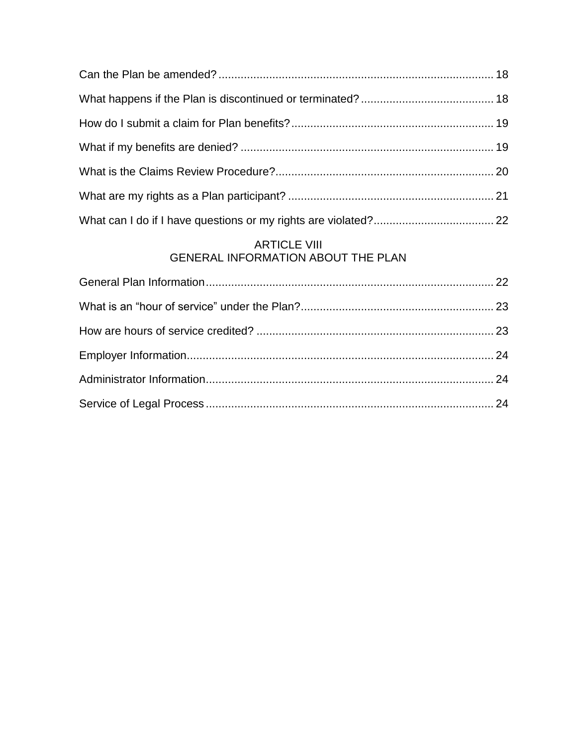### [ARTICLE VIII](#page-25-1) [GENERAL INFORMATION ABOUT THE PLAN](#page-25-1)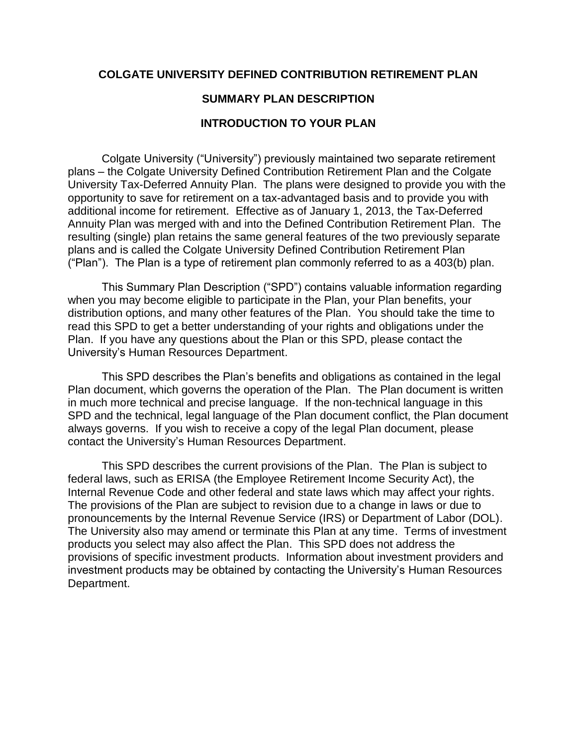### **COLGATE UNIVERSITY DEFINED CONTRIBUTION RETIREMENT PLAN**

### **SUMMARY PLAN DESCRIPTION**

### **INTRODUCTION TO YOUR PLAN**

Colgate University ("University") previously maintained two separate retirement plans – the Colgate University Defined Contribution Retirement Plan and the Colgate University Tax-Deferred Annuity Plan. The plans were designed to provide you with the opportunity to save for retirement on a tax-advantaged basis and to provide you with additional income for retirement. Effective as of January 1, 2013, the Tax-Deferred Annuity Plan was merged with and into the Defined Contribution Retirement Plan. The resulting (single) plan retains the same general features of the two previously separate plans and is called the Colgate University Defined Contribution Retirement Plan ("Plan"). The Plan is a type of retirement plan commonly referred to as a 403(b) plan.

This Summary Plan Description ("SPD") contains valuable information regarding when you may become eligible to participate in the Plan, your Plan benefits, your distribution options, and many other features of the Plan. You should take the time to read this SPD to get a better understanding of your rights and obligations under the Plan. If you have any questions about the Plan or this SPD, please contact the University's Human Resources Department.

This SPD describes the Plan's benefits and obligations as contained in the legal Plan document, which governs the operation of the Plan. The Plan document is written in much more technical and precise language. If the non-technical language in this SPD and the technical, legal language of the Plan document conflict, the Plan document always governs. If you wish to receive a copy of the legal Plan document, please contact the University's Human Resources Department.

This SPD describes the current provisions of the Plan. The Plan is subject to federal laws, such as ERISA (the Employee Retirement Income Security Act), the Internal Revenue Code and other federal and state laws which may affect your rights. The provisions of the Plan are subject to revision due to a change in laws or due to pronouncements by the Internal Revenue Service (IRS) or Department of Labor (DOL). The University also may amend or terminate this Plan at any time. Terms of investment products you select may also affect the Plan. This SPD does not address the provisions of specific investment products. Information about investment providers and investment products may be obtained by contacting the University's Human Resources Department.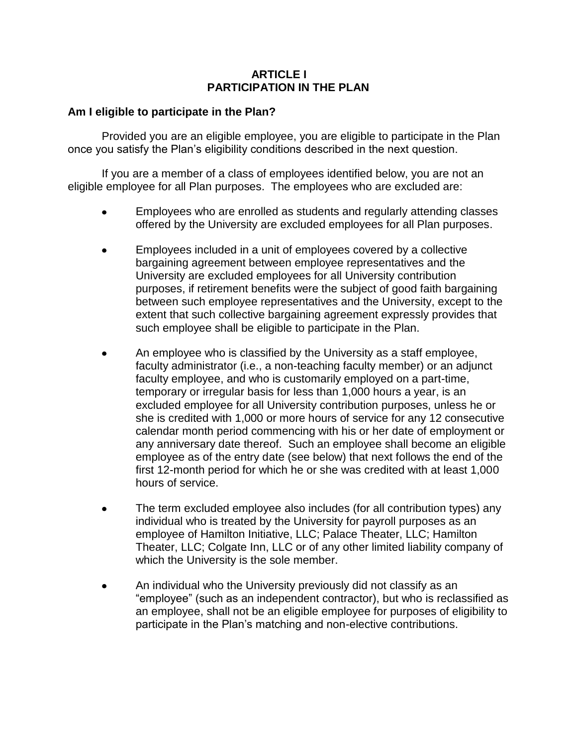### **ARTICLE I PARTICIPATION IN THE PLAN**

### <span id="page-5-1"></span><span id="page-5-0"></span>**Am I eligible to participate in the Plan?**

Provided you are an eligible employee, you are eligible to participate in the Plan once you satisfy the Plan's eligibility conditions described in the next question.

If you are a member of a class of employees identified below, you are not an eligible employee for all Plan purposes. The employees who are excluded are:

- Employees who are enrolled as students and regularly attending classes offered by the University are excluded employees for all Plan purposes.
- Employees included in a unit of employees covered by a collective bargaining agreement between employee representatives and the University are excluded employees for all University contribution purposes, if retirement benefits were the subject of good faith bargaining between such employee representatives and the University, except to the extent that such collective bargaining agreement expressly provides that such employee shall be eligible to participate in the Plan.
- An employee who is classified by the University as a staff employee, faculty administrator (i.e., a non-teaching faculty member) or an adjunct faculty employee, and who is customarily employed on a part-time, temporary or irregular basis for less than 1,000 hours a year, is an excluded employee for all University contribution purposes, unless he or she is credited with 1,000 or more hours of service for any 12 consecutive calendar month period commencing with his or her date of employment or any anniversary date thereof. Such an employee shall become an eligible employee as of the entry date (see below) that next follows the end of the first 12-month period for which he or she was credited with at least 1,000 hours of service.
- The term excluded employee also includes (for all contribution types) any individual who is treated by the University for payroll purposes as an employee of Hamilton Initiative, LLC; Palace Theater, LLC; Hamilton Theater, LLC; Colgate Inn, LLC or of any other limited liability company of which the University is the sole member.
- An individual who the University previously did not classify as an "employee" (such as an independent contractor), but who is reclassified as an employee, shall not be an eligible employee for purposes of eligibility to participate in the Plan's matching and non-elective contributions.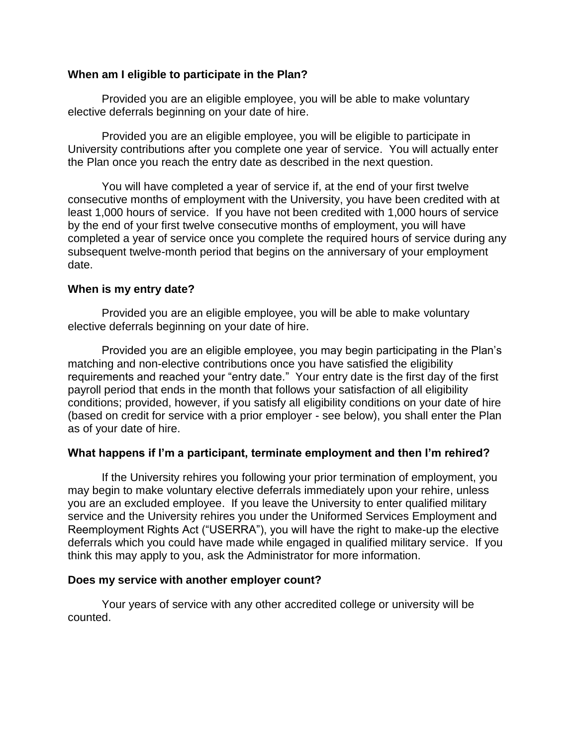### <span id="page-6-0"></span>**When am I eligible to participate in the Plan?**

Provided you are an eligible employee, you will be able to make voluntary elective deferrals beginning on your date of hire.

Provided you are an eligible employee, you will be eligible to participate in University contributions after you complete one year of service. You will actually enter the Plan once you reach the entry date as described in the next question.

You will have completed a year of service if, at the end of your first twelve consecutive months of employment with the University, you have been credited with at least 1,000 hours of service. If you have not been credited with 1,000 hours of service by the end of your first twelve consecutive months of employment, you will have completed a year of service once you complete the required hours of service during any subsequent twelve-month period that begins on the anniversary of your employment date.

### <span id="page-6-1"></span>**When is my entry date?**

Provided you are an eligible employee, you will be able to make voluntary elective deferrals beginning on your date of hire.

Provided you are an eligible employee, you may begin participating in the Plan's matching and non-elective contributions once you have satisfied the eligibility requirements and reached your "entry date." Your entry date is the first day of the first payroll period that ends in the month that follows your satisfaction of all eligibility conditions; provided, however, if you satisfy all eligibility conditions on your date of hire (based on credit for service with a prior employer - see below), you shall enter the Plan as of your date of hire.

### <span id="page-6-2"></span>**What happens if I'm a participant, terminate employment and then I'm rehired?**

If the University rehires you following your prior termination of employment, you may begin to make voluntary elective deferrals immediately upon your rehire, unless you are an excluded employee. If you leave the University to enter qualified military service and the University rehires you under the Uniformed Services Employment and Reemployment Rights Act ("USERRA"), you will have the right to make-up the elective deferrals which you could have made while engaged in qualified military service. If you think this may apply to you, ask the Administrator for more information.

### <span id="page-6-3"></span>**Does my service with another employer count?**

Your years of service with any other accredited college or university will be counted.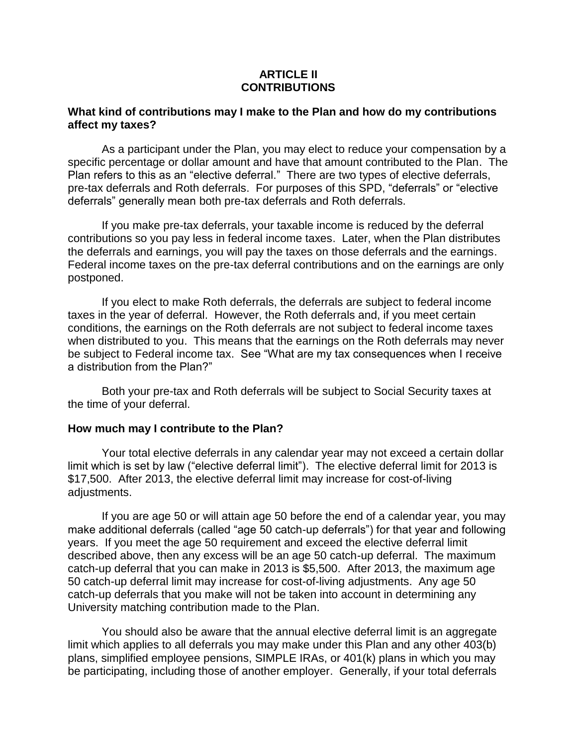### **ARTICLE II CONTRIBUTIONS**

### <span id="page-7-1"></span><span id="page-7-0"></span>**What kind of contributions may I make to the Plan and how do my contributions affect my taxes?**

As a participant under the Plan, you may elect to reduce your compensation by a specific percentage or dollar amount and have that amount contributed to the Plan. The Plan refers to this as an "elective deferral." There are two types of elective deferrals, pre-tax deferrals and Roth deferrals. For purposes of this SPD, "deferrals" or "elective deferrals" generally mean both pre-tax deferrals and Roth deferrals.

If you make pre-tax deferrals, your taxable income is reduced by the deferral contributions so you pay less in federal income taxes. Later, when the Plan distributes the deferrals and earnings, you will pay the taxes on those deferrals and the earnings. Federal income taxes on the pre-tax deferral contributions and on the earnings are only postponed.

If you elect to make Roth deferrals, the deferrals are subject to federal income taxes in the year of deferral. However, the Roth deferrals and, if you meet certain conditions, the earnings on the Roth deferrals are not subject to federal income taxes when distributed to you. This means that the earnings on the Roth deferrals may never be subject to Federal income tax. See "What are my tax consequences when I receive a distribution from the Plan?"

Both your pre-tax and Roth deferrals will be subject to Social Security taxes at the time of your deferral.

### <span id="page-7-2"></span>**How much may I contribute to the Plan?**

Your total elective deferrals in any calendar year may not exceed a certain dollar limit which is set by law ("elective deferral limit"). The elective deferral limit for 2013 is \$17,500. After 2013, the elective deferral limit may increase for cost-of-living adjustments.

If you are age 50 or will attain age 50 before the end of a calendar year, you may make additional deferrals (called "age 50 catch-up deferrals") for that year and following years. If you meet the age 50 requirement and exceed the elective deferral limit described above, then any excess will be an age 50 catch-up deferral. The maximum catch-up deferral that you can make in 2013 is \$5,500. After 2013, the maximum age 50 catch-up deferral limit may increase for cost-of-living adjustments. Any age 50 catch-up deferrals that you make will not be taken into account in determining any University matching contribution made to the Plan.

You should also be aware that the annual elective deferral limit is an aggregate limit which applies to all deferrals you may make under this Plan and any other 403(b) plans, simplified employee pensions, SIMPLE IRAs, or 401(k) plans in which you may be participating, including those of another employer. Generally, if your total deferrals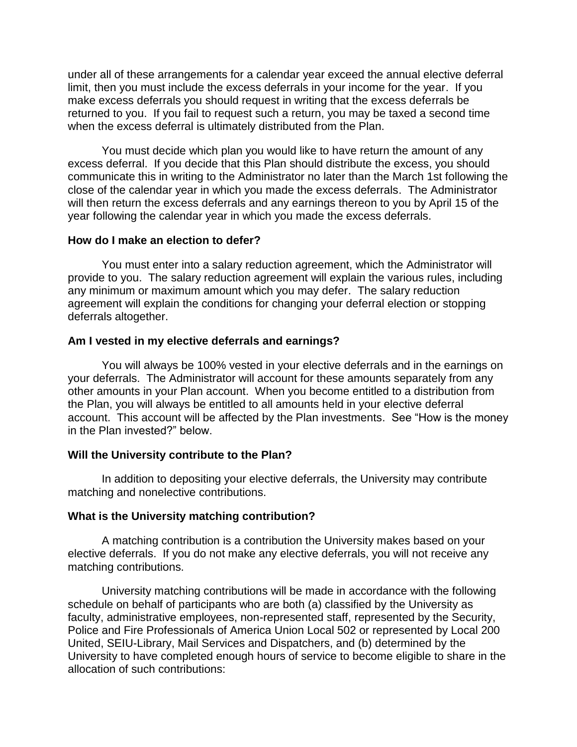under all of these arrangements for a calendar year exceed the annual elective deferral limit, then you must include the excess deferrals in your income for the year. If you make excess deferrals you should request in writing that the excess deferrals be returned to you. If you fail to request such a return, you may be taxed a second time when the excess deferral is ultimately distributed from the Plan.

You must decide which plan you would like to have return the amount of any excess deferral. If you decide that this Plan should distribute the excess, you should communicate this in writing to the Administrator no later than the March 1st following the close of the calendar year in which you made the excess deferrals. The Administrator will then return the excess deferrals and any earnings thereon to you by April 15 of the year following the calendar year in which you made the excess deferrals.

#### <span id="page-8-0"></span>**How do I make an election to defer?**

You must enter into a salary reduction agreement, which the Administrator will provide to you. The salary reduction agreement will explain the various rules, including any minimum or maximum amount which you may defer. The salary reduction agreement will explain the conditions for changing your deferral election or stopping deferrals altogether.

#### <span id="page-8-1"></span>**Am I vested in my elective deferrals and earnings?**

You will always be 100% vested in your elective deferrals and in the earnings on your deferrals. The Administrator will account for these amounts separately from any other amounts in your Plan account. When you become entitled to a distribution from the Plan, you will always be entitled to all amounts held in your elective deferral account. This account will be affected by the Plan investments. See "How is the money in the Plan invested?" below.

### <span id="page-8-2"></span>**Will the University contribute to the Plan?**

In addition to depositing your elective deferrals, the University may contribute matching and nonelective contributions.

### <span id="page-8-3"></span>**What is the University matching contribution?**

A matching contribution is a contribution the University makes based on your elective deferrals. If you do not make any elective deferrals, you will not receive any matching contributions.

University matching contributions will be made in accordance with the following schedule on behalf of participants who are both (a) classified by the University as faculty, administrative employees, non-represented staff, represented by the Security, Police and Fire Professionals of America Union Local 502 or represented by Local 200 United, SEIU-Library, Mail Services and Dispatchers, and (b) determined by the University to have completed enough hours of service to become eligible to share in the allocation of such contributions: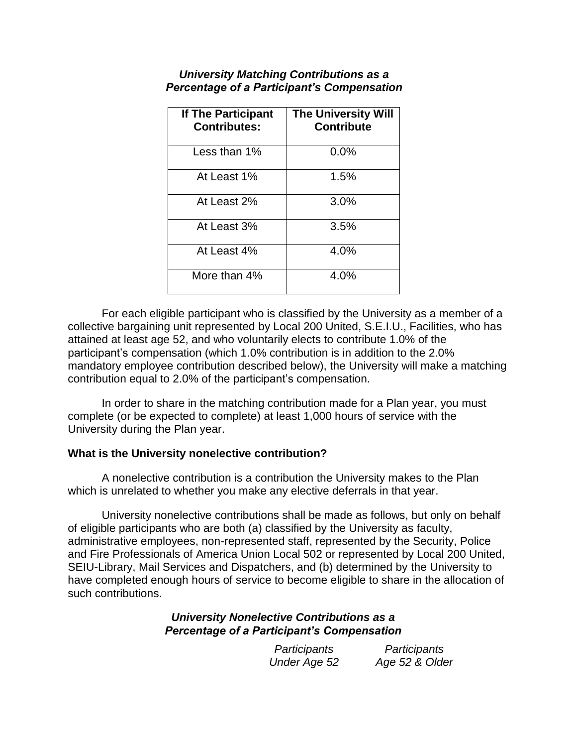| If The Participant<br><b>Contributes:</b> | <b>The University Will</b><br><b>Contribute</b> |
|-------------------------------------------|-------------------------------------------------|
| Less than 1%                              | 0.0%                                            |
| At Least 1%                               | 1.5%                                            |
| At Least 2%                               | 3.0%                                            |
| At Least 3%                               | 3.5%                                            |
| At Least 4%                               | 4.0%                                            |
| More than 4%                              | 4.0%                                            |

### *University Matching Contributions as a Percentage of a Participant's Compensation*

For each eligible participant who is classified by the University as a member of a collective bargaining unit represented by Local 200 United, S.E.I.U., Facilities, who has attained at least age 52, and who voluntarily elects to contribute 1.0% of the participant's compensation (which 1.0% contribution is in addition to the 2.0% mandatory employee contribution described below), the University will make a matching contribution equal to 2.0% of the participant's compensation.

In order to share in the matching contribution made for a Plan year, you must complete (or be expected to complete) at least 1,000 hours of service with the University during the Plan year.

### <span id="page-9-0"></span>**What is the University nonelective contribution?**

A nonelective contribution is a contribution the University makes to the Plan which is unrelated to whether you make any elective deferrals in that year.

University nonelective contributions shall be made as follows, but only on behalf of eligible participants who are both (a) classified by the University as faculty, administrative employees, non-represented staff, represented by the Security, Police and Fire Professionals of America Union Local 502 or represented by Local 200 United, SEIU-Library, Mail Services and Dispatchers, and (b) determined by the University to have completed enough hours of service to become eligible to share in the allocation of such contributions.

### *University Nonelective Contributions as a Percentage of a Participant's Compensation*

| Participants | Participants   |
|--------------|----------------|
| Under Age 52 | Age 52 & Older |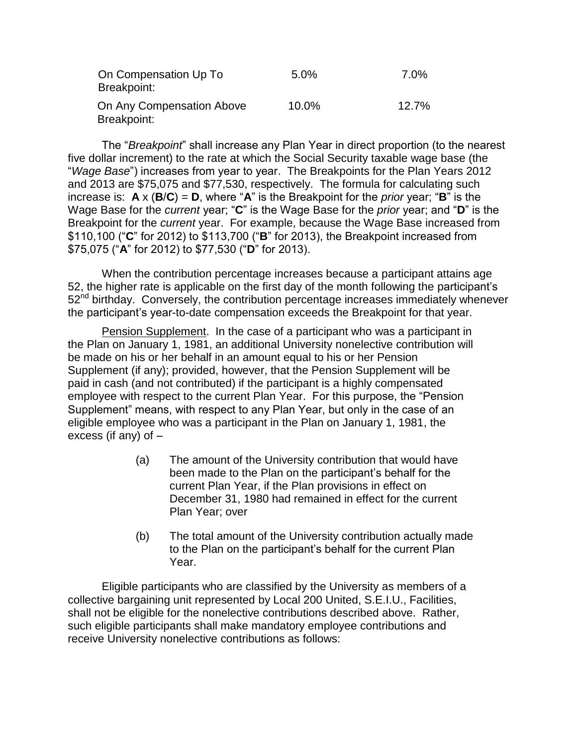| On Compensation Up To<br>Breakpoint:     | 5.0%  | 7.0%  |
|------------------------------------------|-------|-------|
| On Any Compensation Above<br>Breakpoint: | 10.0% | 12.7% |

The "*Breakpoint*" shall increase any Plan Year in direct proportion (to the nearest five dollar increment) to the rate at which the Social Security taxable wage base (the "*Wage Base*") increases from year to year. The Breakpoints for the Plan Years 2012 and 2013 are \$75,075 and \$77,530, respectively. The formula for calculating such increase is:  $A \times (B/C) = D$ , where "A" is the Breakpoint for the *prior* year; "B" is the Wage Base for the *current* year; "**C**" is the Wage Base for the *prior* year; and "**D**" is the Breakpoint for the *current* year. For example, because the Wage Base increased from \$110,100 ("**C**" for 2012) to \$113,700 ("**B**" for 2013), the Breakpoint increased from \$75,075 ("**A**" for 2012) to \$77,530 ("**D**" for 2013).

When the contribution percentage increases because a participant attains age 52, the higher rate is applicable on the first day of the month following the participant's 52<sup>nd</sup> birthday. Conversely, the contribution percentage increases immediately whenever the participant's year-to-date compensation exceeds the Breakpoint for that year.

Pension Supplement. In the case of a participant who was a participant in the Plan on January 1, 1981, an additional University nonelective contribution will be made on his or her behalf in an amount equal to his or her Pension Supplement (if any); provided, however, that the Pension Supplement will be paid in cash (and not contributed) if the participant is a highly compensated employee with respect to the current Plan Year. For this purpose, the "Pension Supplement" means, with respect to any Plan Year, but only in the case of an eligible employee who was a participant in the Plan on January 1, 1981, the excess (if any) of –

- (a) The amount of the University contribution that would have been made to the Plan on the participant's behalf for the current Plan Year, if the Plan provisions in effect on December 31, 1980 had remained in effect for the current Plan Year; over
- (b) The total amount of the University contribution actually made to the Plan on the participant's behalf for the current Plan Year.

Eligible participants who are classified by the University as members of a collective bargaining unit represented by Local 200 United, S.E.I.U., Facilities, shall not be eligible for the nonelective contributions described above. Rather, such eligible participants shall make mandatory employee contributions and receive University nonelective contributions as follows: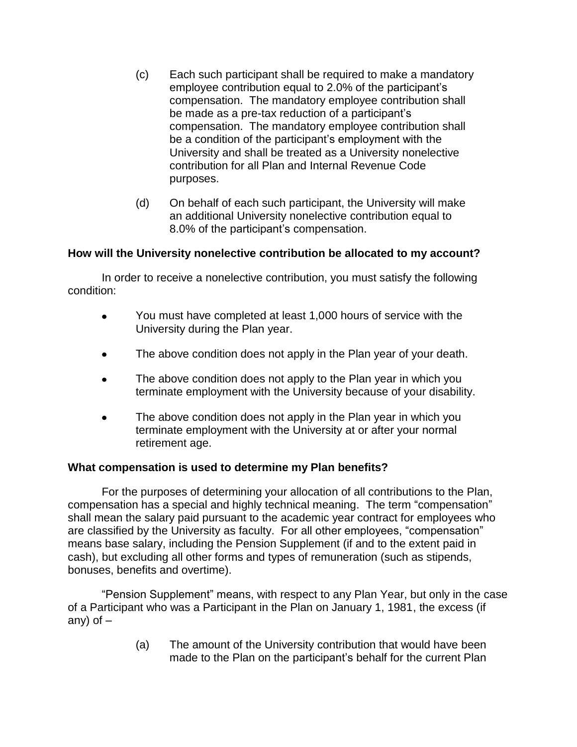- (c) Each such participant shall be required to make a mandatory employee contribution equal to 2.0% of the participant's compensation. The mandatory employee contribution shall be made as a pre-tax reduction of a participant's compensation. The mandatory employee contribution shall be a condition of the participant's employment with the University and shall be treated as a University nonelective contribution for all Plan and Internal Revenue Code purposes.
- (d) On behalf of each such participant, the University will make an additional University nonelective contribution equal to 8.0% of the participant's compensation.

### <span id="page-11-0"></span>**How will the University nonelective contribution be allocated to my account?**

In order to receive a nonelective contribution, you must satisfy the following condition:

- You must have completed at least 1,000 hours of service with the  $\bullet$ University during the Plan year.
- $\bullet$ The above condition does not apply in the Plan year of your death.
- The above condition does not apply to the Plan year in which you  $\bullet$ terminate employment with the University because of your disability.
- $\bullet$ The above condition does not apply in the Plan year in which you terminate employment with the University at or after your normal retirement age.

### <span id="page-11-1"></span>**What compensation is used to determine my Plan benefits?**

For the purposes of determining your allocation of all contributions to the Plan, compensation has a special and highly technical meaning. The term "compensation" shall mean the salary paid pursuant to the academic year contract for employees who are classified by the University as faculty. For all other employees, "compensation" means base salary, including the Pension Supplement (if and to the extent paid in cash), but excluding all other forms and types of remuneration (such as stipends, bonuses, benefits and overtime).

"Pension Supplement" means, with respect to any Plan Year, but only in the case of a Participant who was a Participant in the Plan on January 1, 1981, the excess (if any) of  $-$ 

> (a) The amount of the University contribution that would have been made to the Plan on the participant's behalf for the current Plan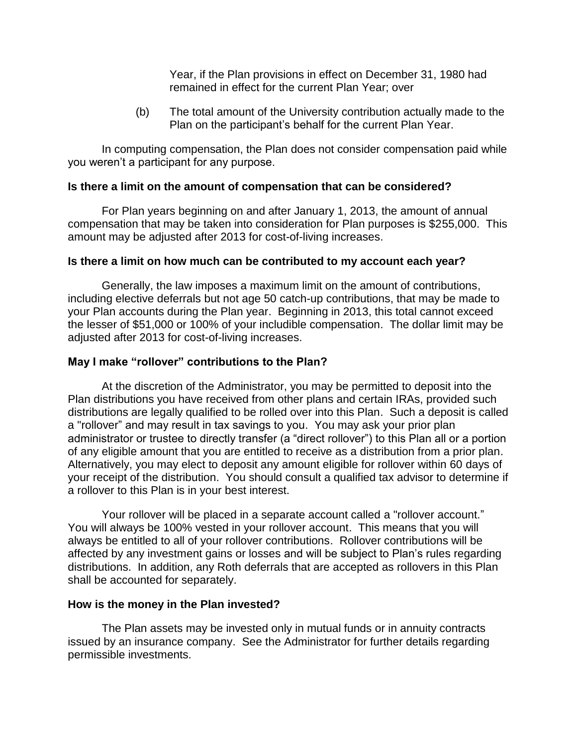Year, if the Plan provisions in effect on December 31, 1980 had remained in effect for the current Plan Year; over

(b) The total amount of the University contribution actually made to the Plan on the participant's behalf for the current Plan Year.

In computing compensation, the Plan does not consider compensation paid while you weren't a participant for any purpose.

### <span id="page-12-0"></span>**Is there a limit on the amount of compensation that can be considered?**

For Plan years beginning on and after January 1, 2013, the amount of annual compensation that may be taken into consideration for Plan purposes is \$255,000. This amount may be adjusted after 2013 for cost-of-living increases.

### <span id="page-12-1"></span>**Is there a limit on how much can be contributed to my account each year?**

Generally, the law imposes a maximum limit on the amount of contributions, including elective deferrals but not age 50 catch-up contributions, that may be made to your Plan accounts during the Plan year. Beginning in 2013, this total cannot exceed the lesser of \$51,000 or 100% of your includible compensation. The dollar limit may be adjusted after 2013 for cost-of-living increases.

### <span id="page-12-2"></span>**May I make "rollover" contributions to the Plan?**

At the discretion of the Administrator, you may be permitted to deposit into the Plan distributions you have received from other plans and certain IRAs, provided such distributions are legally qualified to be rolled over into this Plan. Such a deposit is called a "rollover" and may result in tax savings to you. You may ask your prior plan administrator or trustee to directly transfer (a "direct rollover") to this Plan all or a portion of any eligible amount that you are entitled to receive as a distribution from a prior plan. Alternatively, you may elect to deposit any amount eligible for rollover within 60 days of your receipt of the distribution. You should consult a qualified tax advisor to determine if a rollover to this Plan is in your best interest.

Your rollover will be placed in a separate account called a "rollover account." You will always be 100% vested in your rollover account. This means that you will always be entitled to all of your rollover contributions. Rollover contributions will be affected by any investment gains or losses and will be subject to Plan's rules regarding distributions. In addition, any Roth deferrals that are accepted as rollovers in this Plan shall be accounted for separately.

### <span id="page-12-3"></span>**How is the money in the Plan invested?**

The Plan assets may be invested only in mutual funds or in annuity contracts issued by an insurance company. See the Administrator for further details regarding permissible investments.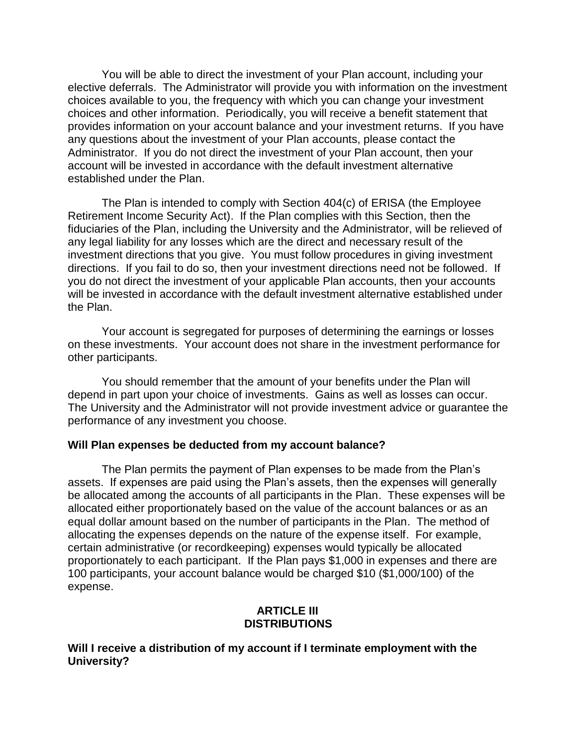You will be able to direct the investment of your Plan account, including your elective deferrals. The Administrator will provide you with information on the investment choices available to you, the frequency with which you can change your investment choices and other information. Periodically, you will receive a benefit statement that provides information on your account balance and your investment returns. If you have any questions about the investment of your Plan accounts, please contact the Administrator. If you do not direct the investment of your Plan account, then your account will be invested in accordance with the default investment alternative established under the Plan.

The Plan is intended to comply with Section 404(c) of ERISA (the Employee Retirement Income Security Act). If the Plan complies with this Section, then the fiduciaries of the Plan, including the University and the Administrator, will be relieved of any legal liability for any losses which are the direct and necessary result of the investment directions that you give. You must follow procedures in giving investment directions. If you fail to do so, then your investment directions need not be followed. If you do not direct the investment of your applicable Plan accounts, then your accounts will be invested in accordance with the default investment alternative established under the Plan.

Your account is segregated for purposes of determining the earnings or losses on these investments. Your account does not share in the investment performance for other participants.

You should remember that the amount of your benefits under the Plan will depend in part upon your choice of investments. Gains as well as losses can occur. The University and the Administrator will not provide investment advice or guarantee the performance of any investment you choose.

### <span id="page-13-0"></span>**Will Plan expenses be deducted from my account balance?**

The Plan permits the payment of Plan expenses to be made from the Plan's assets. If expenses are paid using the Plan's assets, then the expenses will generally be allocated among the accounts of all participants in the Plan. These expenses will be allocated either proportionately based on the value of the account balances or as an equal dollar amount based on the number of participants in the Plan. The method of allocating the expenses depends on the nature of the expense itself. For example, certain administrative (or recordkeeping) expenses would typically be allocated proportionately to each participant. If the Plan pays \$1,000 in expenses and there are 100 participants, your account balance would be charged \$10 (\$1,000/100) of the expense.

### **ARTICLE III DISTRIBUTIONS**

### <span id="page-13-2"></span><span id="page-13-1"></span>**Will I receive a distribution of my account if I terminate employment with the University?**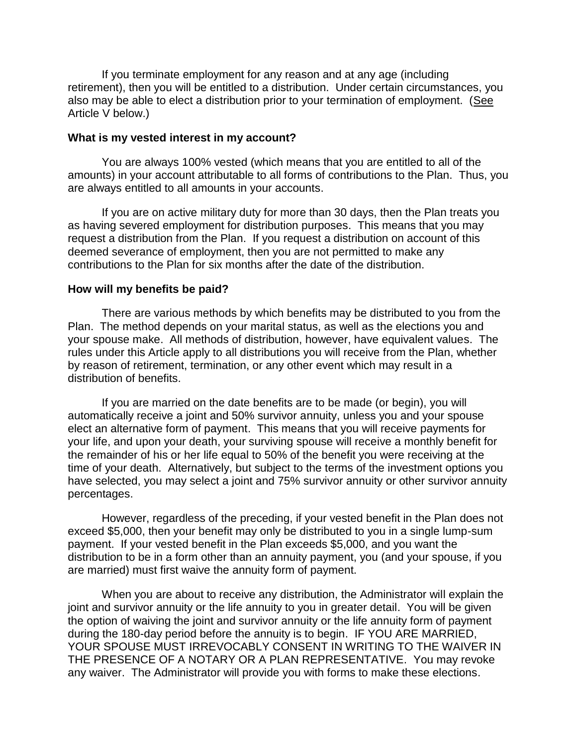If you terminate employment for any reason and at any age (including retirement), then you will be entitled to a distribution. Under certain circumstances, you also may be able to elect a distribution prior to your termination of employment. (See Article V below.)

#### <span id="page-14-0"></span>**What is my vested interest in my account?**

You are always 100% vested (which means that you are entitled to all of the amounts) in your account attributable to all forms of contributions to the Plan. Thus, you are always entitled to all amounts in your accounts.

If you are on active military duty for more than 30 days, then the Plan treats you as having severed employment for distribution purposes. This means that you may request a distribution from the Plan. If you request a distribution on account of this deemed severance of employment, then you are not permitted to make any contributions to the Plan for six months after the date of the distribution.

#### <span id="page-14-1"></span>**How will my benefits be paid?**

There are various methods by which benefits may be distributed to you from the Plan. The method depends on your marital status, as well as the elections you and your spouse make. All methods of distribution, however, have equivalent values. The rules under this Article apply to all distributions you will receive from the Plan, whether by reason of retirement, termination, or any other event which may result in a distribution of benefits.

If you are married on the date benefits are to be made (or begin), you will automatically receive a joint and 50% survivor annuity, unless you and your spouse elect an alternative form of payment. This means that you will receive payments for your life, and upon your death, your surviving spouse will receive a monthly benefit for the remainder of his or her life equal to 50% of the benefit you were receiving at the time of your death. Alternatively, but subject to the terms of the investment options you have selected, you may select a joint and 75% survivor annuity or other survivor annuity percentages.

However, regardless of the preceding, if your vested benefit in the Plan does not exceed \$5,000, then your benefit may only be distributed to you in a single lump-sum payment. If your vested benefit in the Plan exceeds \$5,000, and you want the distribution to be in a form other than an annuity payment, you (and your spouse, if you are married) must first waive the annuity form of payment.

When you are about to receive any distribution, the Administrator will explain the joint and survivor annuity or the life annuity to you in greater detail. You will be given the option of waiving the joint and survivor annuity or the life annuity form of payment during the 180-day period before the annuity is to begin. IF YOU ARE MARRIED, YOUR SPOUSE MUST IRREVOCABLY CONSENT IN WRITING TO THE WAIVER IN THE PRESENCE OF A NOTARY OR A PLAN REPRESENTATIVE. You may revoke any waiver. The Administrator will provide you with forms to make these elections.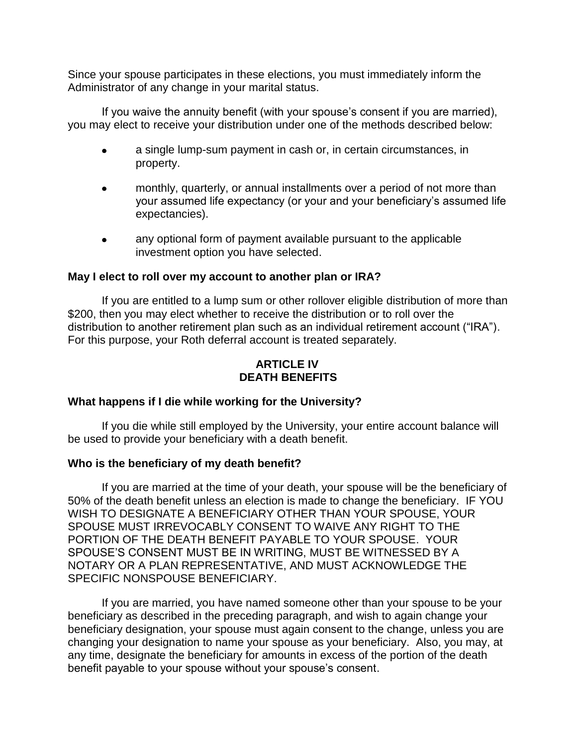Since your spouse participates in these elections, you must immediately inform the Administrator of any change in your marital status.

If you waive the annuity benefit (with your spouse's consent if you are married), you may elect to receive your distribution under one of the methods described below:

- a single lump-sum payment in cash or, in certain circumstances, in property.
- monthly, quarterly, or annual installments over a period of not more than your assumed life expectancy (or your and your beneficiary's assumed life expectancies).
- any optional form of payment available pursuant to the applicable investment option you have selected.

### <span id="page-15-0"></span>**May I elect to roll over my account to another plan or IRA?**

If you are entitled to a lump sum or other rollover eligible distribution of more than \$200, then you may elect whether to receive the distribution or to roll over the distribution to another retirement plan such as an individual retirement account ("IRA"). For this purpose, your Roth deferral account is treated separately.

### **ARTICLE IV DEATH BENEFITS**

### <span id="page-15-2"></span><span id="page-15-1"></span>**What happens if I die while working for the University?**

If you die while still employed by the University, your entire account balance will be used to provide your beneficiary with a death benefit.

### <span id="page-15-3"></span>**Who is the beneficiary of my death benefit?**

If you are married at the time of your death, your spouse will be the beneficiary of 50% of the death benefit unless an election is made to change the beneficiary. IF YOU WISH TO DESIGNATE A BENEFICIARY OTHER THAN YOUR SPOUSE, YOUR SPOUSE MUST IRREVOCABLY CONSENT TO WAIVE ANY RIGHT TO THE PORTION OF THE DEATH BENEFIT PAYABLE TO YOUR SPOUSE. YOUR SPOUSE'S CONSENT MUST BE IN WRITING, MUST BE WITNESSED BY A NOTARY OR A PLAN REPRESENTATIVE, AND MUST ACKNOWLEDGE THE SPECIFIC NONSPOUSE BENEFICIARY.

If you are married, you have named someone other than your spouse to be your beneficiary as described in the preceding paragraph, and wish to again change your beneficiary designation, your spouse must again consent to the change, unless you are changing your designation to name your spouse as your beneficiary. Also, you may, at any time, designate the beneficiary for amounts in excess of the portion of the death benefit payable to your spouse without your spouse's consent.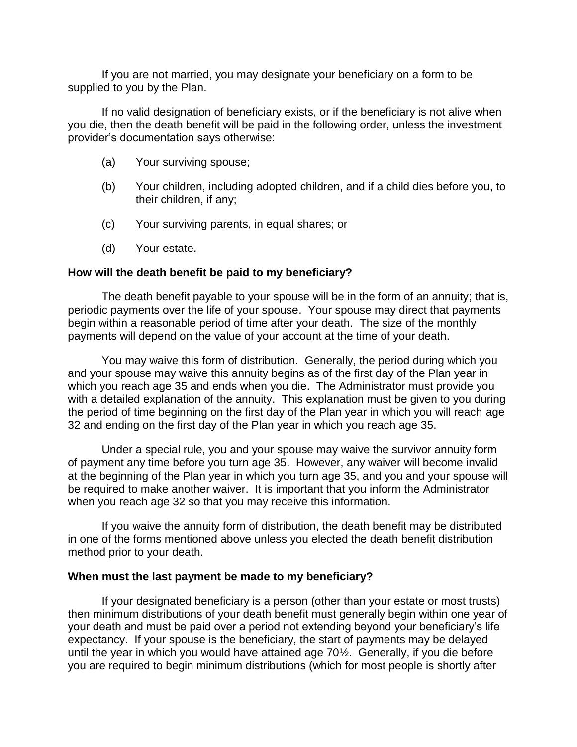If you are not married, you may designate your beneficiary on a form to be supplied to you by the Plan.

If no valid designation of beneficiary exists, or if the beneficiary is not alive when you die, then the death benefit will be paid in the following order, unless the investment provider's documentation says otherwise:

- (a) Your surviving spouse;
- (b) Your children, including adopted children, and if a child dies before you, to their children, if any;
- (c) Your surviving parents, in equal shares; or
- (d) Your estate.

### <span id="page-16-0"></span>**How will the death benefit be paid to my beneficiary?**

The death benefit payable to your spouse will be in the form of an annuity; that is, periodic payments over the life of your spouse. Your spouse may direct that payments begin within a reasonable period of time after your death. The size of the monthly payments will depend on the value of your account at the time of your death.

You may waive this form of distribution. Generally, the period during which you and your spouse may waive this annuity begins as of the first day of the Plan year in which you reach age 35 and ends when you die. The Administrator must provide you with a detailed explanation of the annuity. This explanation must be given to you during the period of time beginning on the first day of the Plan year in which you will reach age 32 and ending on the first day of the Plan year in which you reach age 35.

Under a special rule, you and your spouse may waive the survivor annuity form of payment any time before you turn age 35. However, any waiver will become invalid at the beginning of the Plan year in which you turn age 35, and you and your spouse will be required to make another waiver. It is important that you inform the Administrator when you reach age 32 so that you may receive this information.

If you waive the annuity form of distribution, the death benefit may be distributed in one of the forms mentioned above unless you elected the death benefit distribution method prior to your death.

### <span id="page-16-1"></span>**When must the last payment be made to my beneficiary?**

If your designated beneficiary is a person (other than your estate or most trusts) then minimum distributions of your death benefit must generally begin within one year of your death and must be paid over a period not extending beyond your beneficiary's life expectancy. If your spouse is the beneficiary, the start of payments may be delayed until the year in which you would have attained age 70½. Generally, if you die before you are required to begin minimum distributions (which for most people is shortly after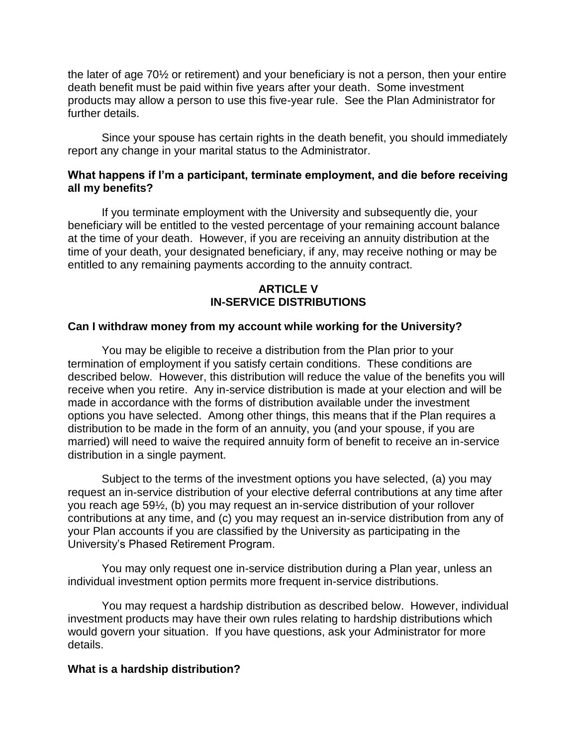the later of age 70½ or retirement) and your beneficiary is not a person, then your entire death benefit must be paid within five years after your death. Some investment products may allow a person to use this five-year rule. See the Plan Administrator for further details.

Since your spouse has certain rights in the death benefit, you should immediately report any change in your marital status to the Administrator.

### <span id="page-17-0"></span>**What happens if I'm a participant, terminate employment, and die before receiving all my benefits?**

If you terminate employment with the University and subsequently die, your beneficiary will be entitled to the vested percentage of your remaining account balance at the time of your death. However, if you are receiving an annuity distribution at the time of your death, your designated beneficiary, if any, may receive nothing or may be entitled to any remaining payments according to the annuity contract.

### **ARTICLE V IN-SERVICE DISTRIBUTIONS**

### <span id="page-17-2"></span><span id="page-17-1"></span>**Can I withdraw money from my account while working for the University?**

You may be eligible to receive a distribution from the Plan prior to your termination of employment if you satisfy certain conditions. These conditions are described below. However, this distribution will reduce the value of the benefits you will receive when you retire. Any in-service distribution is made at your election and will be made in accordance with the forms of distribution available under the investment options you have selected. Among other things, this means that if the Plan requires a distribution to be made in the form of an annuity, you (and your spouse, if you are married) will need to waive the required annuity form of benefit to receive an in-service distribution in a single payment.

Subject to the terms of the investment options you have selected, (a) you may request an in-service distribution of your elective deferral contributions at any time after you reach age 59½, (b) you may request an in-service distribution of your rollover contributions at any time, and (c) you may request an in-service distribution from any of your Plan accounts if you are classified by the University as participating in the University's Phased Retirement Program.

You may only request one in-service distribution during a Plan year, unless an individual investment option permits more frequent in-service distributions.

You may request a hardship distribution as described below. However, individual investment products may have their own rules relating to hardship distributions which would govern your situation. If you have questions, ask your Administrator for more details.

#### <span id="page-17-3"></span>**What is a hardship distribution?**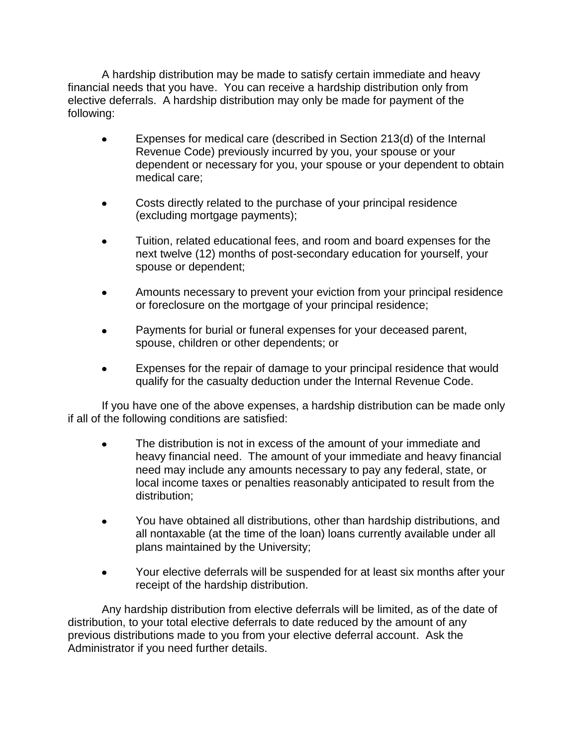A hardship distribution may be made to satisfy certain immediate and heavy financial needs that you have. You can receive a hardship distribution only from elective deferrals. A hardship distribution may only be made for payment of the following:

- $\bullet$ Expenses for medical care (described in Section 213(d) of the Internal Revenue Code) previously incurred by you, your spouse or your dependent or necessary for you, your spouse or your dependent to obtain medical care;
- Costs directly related to the purchase of your principal residence  $\bullet$ (excluding mortgage payments);
- Tuition, related educational fees, and room and board expenses for the  $\bullet$ next twelve (12) months of post-secondary education for yourself, your spouse or dependent;
- Amounts necessary to prevent your eviction from your principal residence or foreclosure on the mortgage of your principal residence;
- Payments for burial or funeral expenses for your deceased parent,  $\bullet$ spouse, children or other dependents; or
- Expenses for the repair of damage to your principal residence that would qualify for the casualty deduction under the Internal Revenue Code.

If you have one of the above expenses, a hardship distribution can be made only if all of the following conditions are satisfied:

- The distribution is not in excess of the amount of your immediate and heavy financial need. The amount of your immediate and heavy financial need may include any amounts necessary to pay any federal, state, or local income taxes or penalties reasonably anticipated to result from the distribution;
- You have obtained all distributions, other than hardship distributions, and all nontaxable (at the time of the loan) loans currently available under all plans maintained by the University;
- Your elective deferrals will be suspended for at least six months after your  $\bullet$ receipt of the hardship distribution.

Any hardship distribution from elective deferrals will be limited, as of the date of distribution, to your total elective deferrals to date reduced by the amount of any previous distributions made to you from your elective deferral account. Ask the Administrator if you need further details.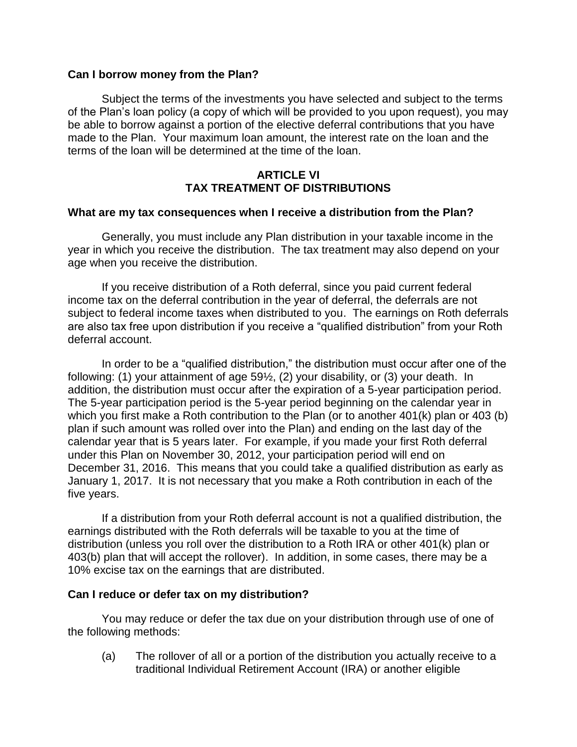### **Can I borrow money from the Plan?**

Subject the terms of the investments you have selected and subject to the terms of the Plan's loan policy (a copy of which will be provided to you upon request), you may be able to borrow against a portion of the elective deferral contributions that you have made to the Plan. Your maximum loan amount, the interest rate on the loan and the terms of the loan will be determined at the time of the loan.

### **ARTICLE VI TAX TREATMENT OF DISTRIBUTIONS**

### <span id="page-19-1"></span><span id="page-19-0"></span>**What are my tax consequences when I receive a distribution from the Plan?**

Generally, you must include any Plan distribution in your taxable income in the year in which you receive the distribution. The tax treatment may also depend on your age when you receive the distribution.

If you receive distribution of a Roth deferral, since you paid current federal income tax on the deferral contribution in the year of deferral, the deferrals are not subject to federal income taxes when distributed to you. The earnings on Roth deferrals are also tax free upon distribution if you receive a "qualified distribution" from your Roth deferral account.

In order to be a "qualified distribution," the distribution must occur after one of the following: (1) your attainment of age 59½, (2) your disability, or (3) your death. In addition, the distribution must occur after the expiration of a 5-year participation period. The 5-year participation period is the 5-year period beginning on the calendar year in which you first make a Roth contribution to the Plan (or to another 401(k) plan or 403 (b) plan if such amount was rolled over into the Plan) and ending on the last day of the calendar year that is 5 years later. For example, if you made your first Roth deferral under this Plan on November 30, 2012, your participation period will end on December 31, 2016. This means that you could take a qualified distribution as early as January 1, 2017. It is not necessary that you make a Roth contribution in each of the five years.

If a distribution from your Roth deferral account is not a qualified distribution, the earnings distributed with the Roth deferrals will be taxable to you at the time of distribution (unless you roll over the distribution to a Roth IRA or other 401(k) plan or 403(b) plan that will accept the rollover). In addition, in some cases, there may be a 10% excise tax on the earnings that are distributed.

### <span id="page-19-2"></span>**Can I reduce or defer tax on my distribution?**

You may reduce or defer the tax due on your distribution through use of one of the following methods:

(a) The rollover of all or a portion of the distribution you actually receive to a traditional Individual Retirement Account (IRA) or another eligible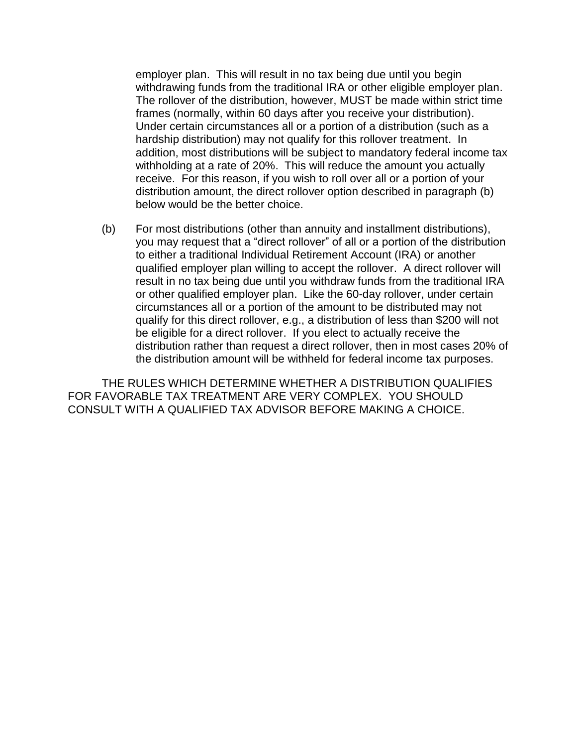employer plan. This will result in no tax being due until you begin withdrawing funds from the traditional IRA or other eligible employer plan. The rollover of the distribution, however, MUST be made within strict time frames (normally, within 60 days after you receive your distribution). Under certain circumstances all or a portion of a distribution (such as a hardship distribution) may not qualify for this rollover treatment. In addition, most distributions will be subject to mandatory federal income tax withholding at a rate of 20%. This will reduce the amount you actually receive. For this reason, if you wish to roll over all or a portion of your distribution amount, the direct rollover option described in paragraph (b) below would be the better choice.

(b) For most distributions (other than annuity and installment distributions), you may request that a "direct rollover" of all or a portion of the distribution to either a traditional Individual Retirement Account (IRA) or another qualified employer plan willing to accept the rollover. A direct rollover will result in no tax being due until you withdraw funds from the traditional IRA or other qualified employer plan. Like the 60-day rollover, under certain circumstances all or a portion of the amount to be distributed may not qualify for this direct rollover, e.g., a distribution of less than \$200 will not be eligible for a direct rollover. If you elect to actually receive the distribution rather than request a direct rollover, then in most cases 20% of the distribution amount will be withheld for federal income tax purposes.

<span id="page-20-0"></span>THE RULES WHICH DETERMINE WHETHER A DISTRIBUTION QUALIFIES FOR FAVORABLE TAX TREATMENT ARE VERY COMPLEX. YOU SHOULD CONSULT WITH A QUALIFIED TAX ADVISOR BEFORE MAKING A CHOICE.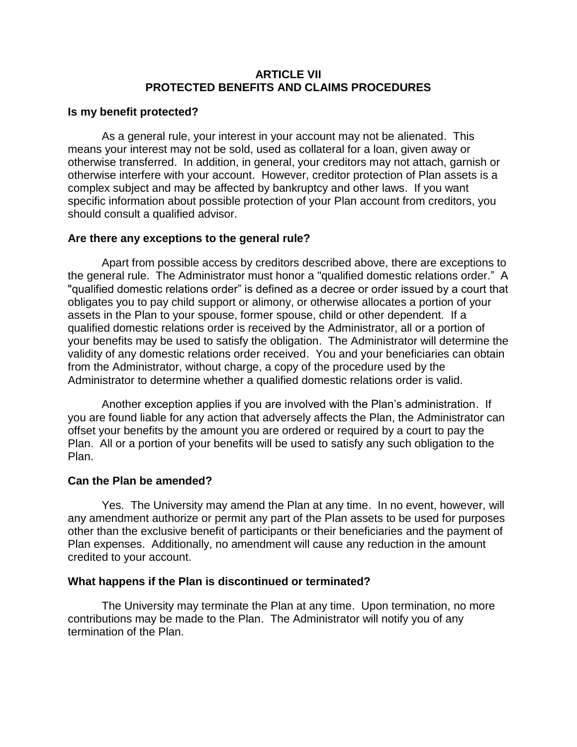### **ARTICLE VII PROTECTED BENEFITS AND CLAIMS PROCEDURES**

### <span id="page-21-0"></span>**Is my benefit protected?**

As a general rule, your interest in your account may not be alienated. This means your interest may not be sold, used as collateral for a loan, given away or otherwise transferred. In addition, in general, your creditors may not attach, garnish or otherwise interfere with your account. However, creditor protection of Plan assets is a complex subject and may be affected by bankruptcy and other laws. If you want specific information about possible protection of your Plan account from creditors, you should consult a qualified advisor.

### <span id="page-21-1"></span>**Are there any exceptions to the general rule?**

Apart from possible access by creditors described above, there are exceptions to the general rule. The Administrator must honor a "qualified domestic relations order." A "qualified domestic relations order" is defined as a decree or order issued by a court that obligates you to pay child support or alimony, or otherwise allocates a portion of your assets in the Plan to your spouse, former spouse, child or other dependent. If a qualified domestic relations order is received by the Administrator, all or a portion of your benefits may be used to satisfy the obligation. The Administrator will determine the validity of any domestic relations order received. You and your beneficiaries can obtain from the Administrator, without charge, a copy of the procedure used by the Administrator to determine whether a qualified domestic relations order is valid.

Another exception applies if you are involved with the Plan's administration. If you are found liable for any action that adversely affects the Plan, the Administrator can offset your benefits by the amount you are ordered or required by a court to pay the Plan. All or a portion of your benefits will be used to satisfy any such obligation to the Plan.

### <span id="page-21-2"></span>**Can the Plan be amended?**

Yes. The University may amend the Plan at any time. In no event, however, will any amendment authorize or permit any part of the Plan assets to be used for purposes other than the exclusive benefit of participants or their beneficiaries and the payment of Plan expenses. Additionally, no amendment will cause any reduction in the amount credited to your account.

### <span id="page-21-3"></span>**What happens if the Plan is discontinued or terminated?**

<span id="page-21-4"></span>The University may terminate the Plan at any time. Upon termination, no more contributions may be made to the Plan. The Administrator will notify you of any termination of the Plan.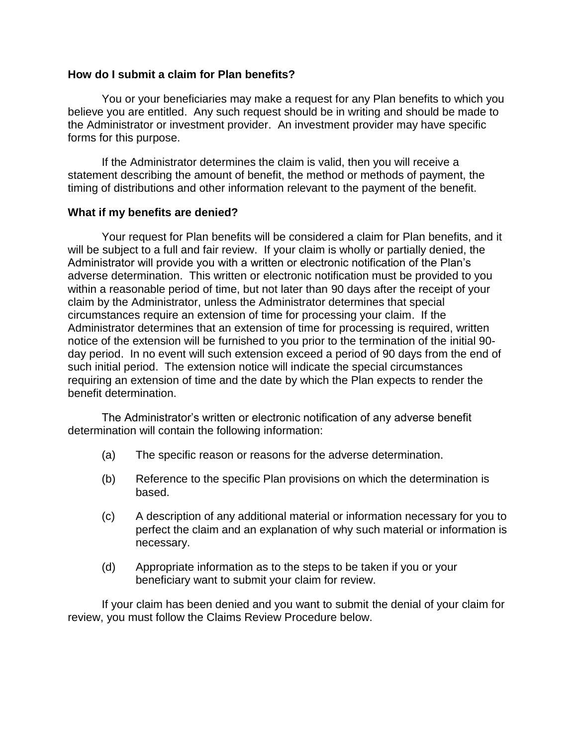### **How do I submit a claim for Plan benefits?**

You or your beneficiaries may make a request for any Plan benefits to which you believe you are entitled. Any such request should be in writing and should be made to the Administrator or investment provider. An investment provider may have specific forms for this purpose.

If the Administrator determines the claim is valid, then you will receive a statement describing the amount of benefit, the method or methods of payment, the timing of distributions and other information relevant to the payment of the benefit.

### <span id="page-22-0"></span>**What if my benefits are denied?**

Your request for Plan benefits will be considered a claim for Plan benefits, and it will be subject to a full and fair review. If your claim is wholly or partially denied, the Administrator will provide you with a written or electronic notification of the Plan's adverse determination. This written or electronic notification must be provided to you within a reasonable period of time, but not later than 90 days after the receipt of your claim by the Administrator, unless the Administrator determines that special circumstances require an extension of time for processing your claim. If the Administrator determines that an extension of time for processing is required, written notice of the extension will be furnished to you prior to the termination of the initial 90 day period. In no event will such extension exceed a period of 90 days from the end of such initial period. The extension notice will indicate the special circumstances requiring an extension of time and the date by which the Plan expects to render the benefit determination.

The Administrator's written or electronic notification of any adverse benefit determination will contain the following information:

- (a) The specific reason or reasons for the adverse determination.
- (b) Reference to the specific Plan provisions on which the determination is based.
- (c) A description of any additional material or information necessary for you to perfect the claim and an explanation of why such material or information is necessary.
- (d) Appropriate information as to the steps to be taken if you or your beneficiary want to submit your claim for review.

<span id="page-22-1"></span>If your claim has been denied and you want to submit the denial of your claim for review, you must follow the Claims Review Procedure below.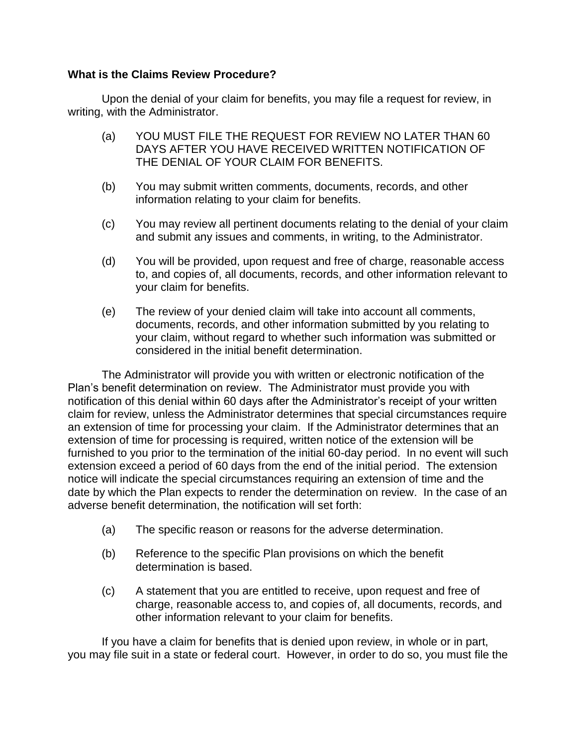### **What is the Claims Review Procedure?**

Upon the denial of your claim for benefits, you may file a request for review, in writing, with the Administrator.

- (a) YOU MUST FILE THE REQUEST FOR REVIEW NO LATER THAN 60 DAYS AFTER YOU HAVE RECEIVED WRITTEN NOTIFICATION OF THE DENIAL OF YOUR CLAIM FOR BENEFITS.
- (b) You may submit written comments, documents, records, and other information relating to your claim for benefits.
- (c) You may review all pertinent documents relating to the denial of your claim and submit any issues and comments, in writing, to the Administrator.
- (d) You will be provided, upon request and free of charge, reasonable access to, and copies of, all documents, records, and other information relevant to your claim for benefits.
- (e) The review of your denied claim will take into account all comments, documents, records, and other information submitted by you relating to your claim, without regard to whether such information was submitted or considered in the initial benefit determination.

The Administrator will provide you with written or electronic notification of the Plan's benefit determination on review. The Administrator must provide you with notification of this denial within 60 days after the Administrator's receipt of your written claim for review, unless the Administrator determines that special circumstances require an extension of time for processing your claim. If the Administrator determines that an extension of time for processing is required, written notice of the extension will be furnished to you prior to the termination of the initial 60-day period. In no event will such extension exceed a period of 60 days from the end of the initial period. The extension notice will indicate the special circumstances requiring an extension of time and the date by which the Plan expects to render the determination on review. In the case of an adverse benefit determination, the notification will set forth:

- (a) The specific reason or reasons for the adverse determination.
- (b) Reference to the specific Plan provisions on which the benefit determination is based.
- (c) A statement that you are entitled to receive, upon request and free of charge, reasonable access to, and copies of, all documents, records, and other information relevant to your claim for benefits.

If you have a claim for benefits that is denied upon review, in whole or in part, you may file suit in a state or federal court. However, in order to do so, you must file the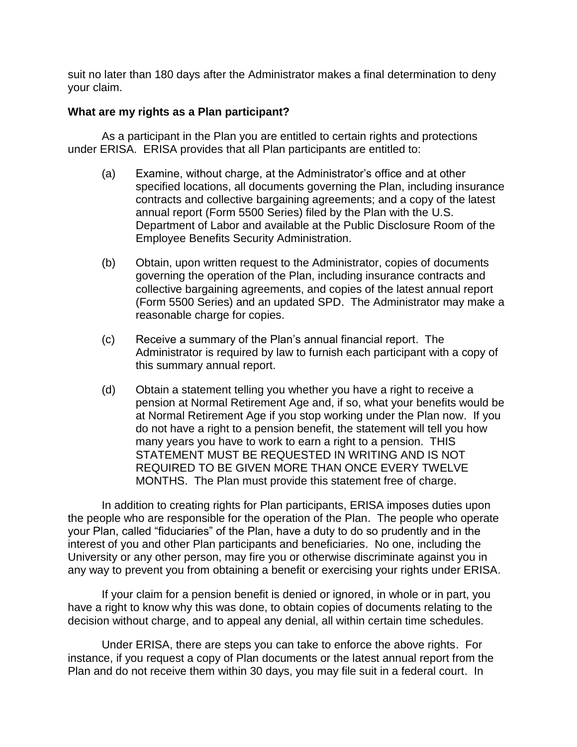suit no later than 180 days after the Administrator makes a final determination to deny your claim.

### <span id="page-24-0"></span>**What are my rights as a Plan participant?**

As a participant in the Plan you are entitled to certain rights and protections under ERISA. ERISA provides that all Plan participants are entitled to:

- (a) Examine, without charge, at the Administrator's office and at other specified locations, all documents governing the Plan, including insurance contracts and collective bargaining agreements; and a copy of the latest annual report (Form 5500 Series) filed by the Plan with the U.S. Department of Labor and available at the Public Disclosure Room of the Employee Benefits Security Administration.
- (b) Obtain, upon written request to the Administrator, copies of documents governing the operation of the Plan, including insurance contracts and collective bargaining agreements, and copies of the latest annual report (Form 5500 Series) and an updated SPD. The Administrator may make a reasonable charge for copies.
- (c) Receive a summary of the Plan's annual financial report. The Administrator is required by law to furnish each participant with a copy of this summary annual report.
- (d) Obtain a statement telling you whether you have a right to receive a pension at Normal Retirement Age and, if so, what your benefits would be at Normal Retirement Age if you stop working under the Plan now. If you do not have a right to a pension benefit, the statement will tell you how many years you have to work to earn a right to a pension. THIS STATEMENT MUST BE REQUESTED IN WRITING AND IS NOT REQUIRED TO BE GIVEN MORE THAN ONCE EVERY TWELVE MONTHS. The Plan must provide this statement free of charge.

In addition to creating rights for Plan participants, ERISA imposes duties upon the people who are responsible for the operation of the Plan. The people who operate your Plan, called "fiduciaries" of the Plan, have a duty to do so prudently and in the interest of you and other Plan participants and beneficiaries. No one, including the University or any other person, may fire you or otherwise discriminate against you in any way to prevent you from obtaining a benefit or exercising your rights under ERISA.

If your claim for a pension benefit is denied or ignored, in whole or in part, you have a right to know why this was done, to obtain copies of documents relating to the decision without charge, and to appeal any denial, all within certain time schedules.

Under ERISA, there are steps you can take to enforce the above rights. For instance, if you request a copy of Plan documents or the latest annual report from the Plan and do not receive them within 30 days, you may file suit in a federal court. In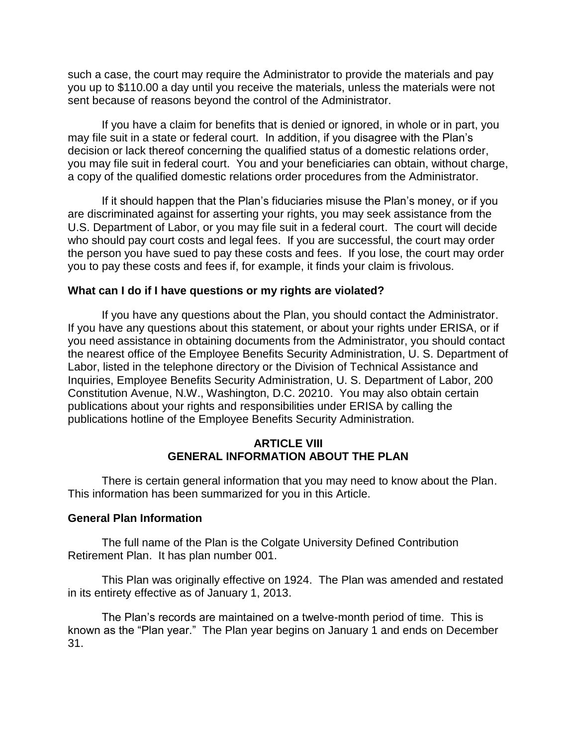such a case, the court may require the Administrator to provide the materials and pay you up to \$110.00 a day until you receive the materials, unless the materials were not sent because of reasons beyond the control of the Administrator.

If you have a claim for benefits that is denied or ignored, in whole or in part, you may file suit in a state or federal court. In addition, if you disagree with the Plan's decision or lack thereof concerning the qualified status of a domestic relations order, you may file suit in federal court. You and your beneficiaries can obtain, without charge, a copy of the qualified domestic relations order procedures from the Administrator.

If it should happen that the Plan's fiduciaries misuse the Plan's money, or if you are discriminated against for asserting your rights, you may seek assistance from the U.S. Department of Labor, or you may file suit in a federal court. The court will decide who should pay court costs and legal fees. If you are successful, the court may order the person you have sued to pay these costs and fees. If you lose, the court may order you to pay these costs and fees if, for example, it finds your claim is frivolous.

### <span id="page-25-0"></span>**What can I do if I have questions or my rights are violated?**

If you have any questions about the Plan, you should contact the Administrator. If you have any questions about this statement, or about your rights under ERISA, or if you need assistance in obtaining documents from the Administrator, you should contact the nearest office of the Employee Benefits Security Administration, U. S. Department of Labor, listed in the telephone directory or the Division of Technical Assistance and Inquiries, Employee Benefits Security Administration, U. S. Department of Labor, 200 Constitution Avenue, N.W., Washington, D.C. 20210. You may also obtain certain publications about your rights and responsibilities under ERISA by calling the publications hotline of the Employee Benefits Security Administration.

### **ARTICLE VIII GENERAL INFORMATION ABOUT THE PLAN**

<span id="page-25-1"></span>There is certain general information that you may need to know about the Plan. This information has been summarized for you in this Article.

### <span id="page-25-2"></span>**General Plan Information**

The full name of the Plan is the Colgate University Defined Contribution Retirement Plan. It has plan number 001.

This Plan was originally effective on 1924. The Plan was amended and restated in its entirety effective as of January 1, 2013.

The Plan's records are maintained on a twelve-month period of time. This is known as the "Plan year." The Plan year begins on January 1 and ends on December 31.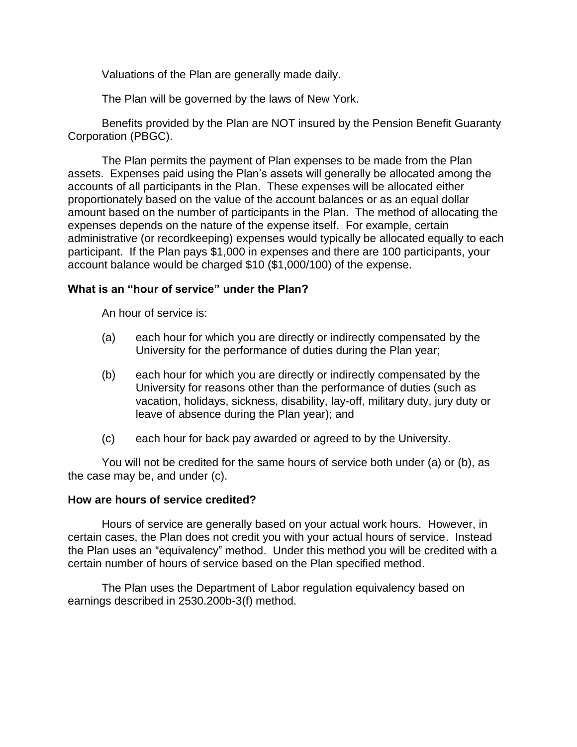Valuations of the Plan are generally made daily.

The Plan will be governed by the laws of New York.

Benefits provided by the Plan are NOT insured by the Pension Benefit Guaranty Corporation (PBGC).

The Plan permits the payment of Plan expenses to be made from the Plan assets. Expenses paid using the Plan's assets will generally be allocated among the accounts of all participants in the Plan. These expenses will be allocated either proportionately based on the value of the account balances or as an equal dollar amount based on the number of participants in the Plan. The method of allocating the expenses depends on the nature of the expense itself. For example, certain administrative (or recordkeeping) expenses would typically be allocated equally to each participant. If the Plan pays \$1,000 in expenses and there are 100 participants, your account balance would be charged \$10 (\$1,000/100) of the expense.

### <span id="page-26-0"></span>**What is an "hour of service" under the Plan?**

An hour of service is:

- (a) each hour for which you are directly or indirectly compensated by the University for the performance of duties during the Plan year;
- (b) each hour for which you are directly or indirectly compensated by the University for reasons other than the performance of duties (such as vacation, holidays, sickness, disability, lay-off, military duty, jury duty or leave of absence during the Plan year); and
- (c) each hour for back pay awarded or agreed to by the University.

You will not be credited for the same hours of service both under (a) or (b), as the case may be, and under (c).

### <span id="page-26-1"></span>**How are hours of service credited?**

Hours of service are generally based on your actual work hours. However, in certain cases, the Plan does not credit you with your actual hours of service. Instead the Plan uses an "equivalency" method. Under this method you will be credited with a certain number of hours of service based on the Plan specified method.

The Plan uses the Department of Labor regulation equivalency based on earnings described in 2530.200b-3(f) method.